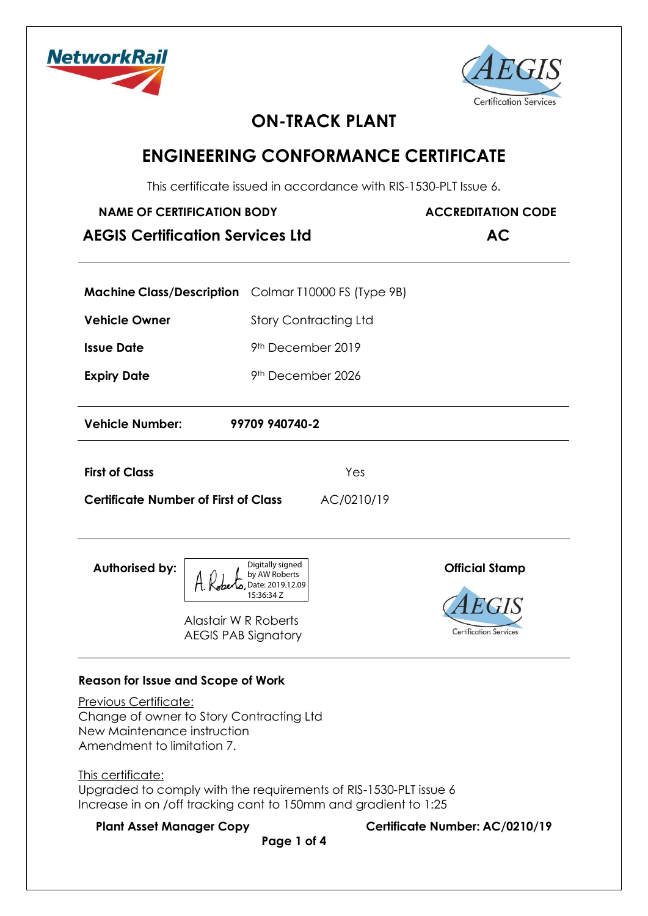



# **ON-TRACK PLANT**

## **ENGINEERING CONFORMANCE CERTIFICATE**

This certificate issued in accordance with RIS-1530-PLT Issue 6.

| <b>NAME OF CERTIFICATION BODY</b><br><b>AEGIS Certification Services Ltd</b> | <b>ACCREDITATION CODE</b><br><b>AC</b>                      |                       |
|------------------------------------------------------------------------------|-------------------------------------------------------------|-----------------------|
|                                                                              | <b>Machine Class/Description</b> Colmar T10000 FS (Type 9B) |                       |
| <b>Vehicle Owner</b>                                                         | <b>Story Contracting Ltd</b>                                |                       |
| <b>Issue Date</b>                                                            | 9 <sup>th</sup> December 2019                               |                       |
| <b>Expiry Date</b>                                                           | 9 <sup>th</sup> December 2026                               |                       |
| <b>Vehicle Number:</b>                                                       | 99709 940740-2                                              |                       |
| <b>First of Class</b>                                                        | Yes                                                         |                       |
| <b>Certificate Number of First of Class</b>                                  | AC/0210/19                                                  |                       |
| <b>Authorised by:</b><br>$\wedge$ $\wedge$ $\wedge$                          | Digitally signed<br>by AW Roberts                           | <b>Official Stamp</b> |



# AEGIS PAB Signatory

Alastair W R Roberts

Date: 2019.12.09 15:36:34 Z

### **Reason for Issue and Scope of Work**

Previous Certificate: Change of owner to Story Contracting Ltd New Maintenance instruction Amendment to limitation 7.

This certificate: Upgraded to comply with the requirements of RIS-1530-PLT issue 6 Increase in on /off tracking cant to 150mm and gradient to 1:25

**Plant Asset Manager Copy Certificate Number: AC/0210/19** 

**Page 1 of 4**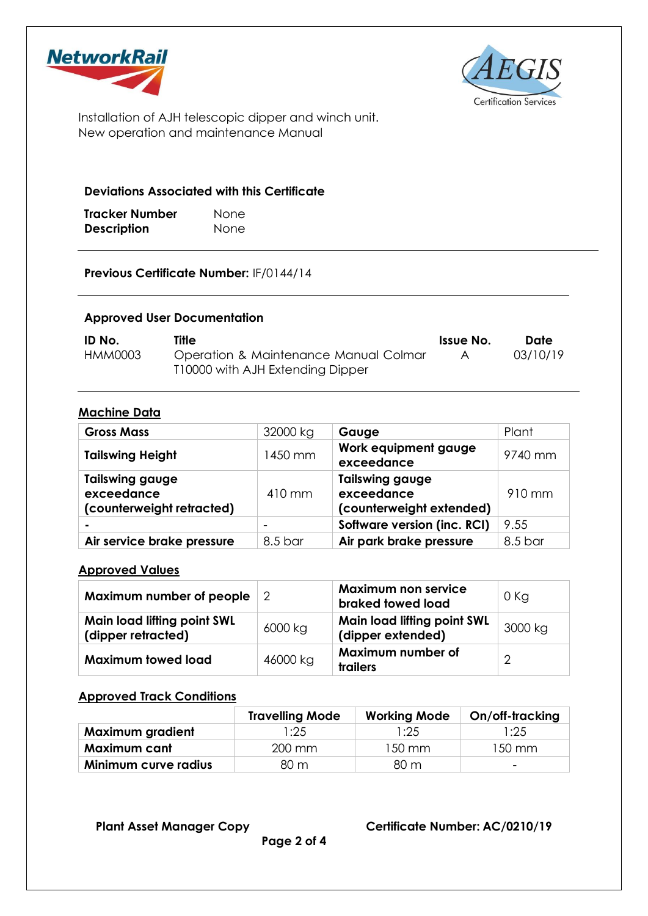



Installation of AJH telescopic dipper and winch unit. New operation and maintenance Manual

#### **Deviations Associated with this Certificate**

| Tracker Number     | <b>None</b> |
|--------------------|-------------|
| <b>Description</b> | None        |

**Previous Certificate Number:** IF/0144/14

#### **Approved User Documentation**

| ID No.  | Title                                 | Issue No. | Date     |
|---------|---------------------------------------|-----------|----------|
| HMM0003 | Operation & Maintenance Manual Colmar |           | 03/10/19 |
|         | T10000 with AJH Extending Dipper      |           |          |

#### **Machine Data**

| <b>Gross Mass</b>                                                 | 32000 kg                 | Gauge                                                            | Plant   |
|-------------------------------------------------------------------|--------------------------|------------------------------------------------------------------|---------|
| <b>Tailswing Height</b>                                           | 1450 mm                  | Work equipment gauge<br>exceedance                               | 9740 mm |
| <b>Tailswing gauge</b><br>exceedance<br>(counterweight retracted) | 410 mm                   | <b>Tailswing gauge</b><br>exceedance<br>(counterweight extended) | 910 mm  |
| -                                                                 | $\overline{\phantom{a}}$ | Software version (inc. RCI)                                      | 9.55    |
| Air service brake pressure                                        | 8.5 bar                  | Air park brake pressure                                          | 8.5 bar |

#### **Approved Values**

| Maximum number of people $\vert$ 2                       |          | <b>Maximum non service</b><br>braked towed load         | $0$ Kg  |
|----------------------------------------------------------|----------|---------------------------------------------------------|---------|
| <b>Main load lifting point SWL</b><br>(dipper retracted) | 6000 kg  | <b>Main load lifting point SWL</b><br>(dipper extended) | 3000 kg |
| <b>Maximum towed load</b>                                | 46000 kg | Maximum number of<br>trailers                           | ⌒       |

#### **Approved Track Conditions**

|                         | <b>Travelling Mode</b> | <b>Working Mode</b> | On/off-tracking          |
|-------------------------|------------------------|---------------------|--------------------------|
| <b>Maximum gradient</b> | l:25                   | l:25                | 1:25.                    |
| Maximum cant            | 200 mm                 | $150 \text{ mm}$    | 150 mm                   |
| Minimum curve radius    | 80 m                   | 80 m                | $\overline{\phantom{0}}$ |

**Plant Asset Manager Copy Certificate Number: AC/0210/19**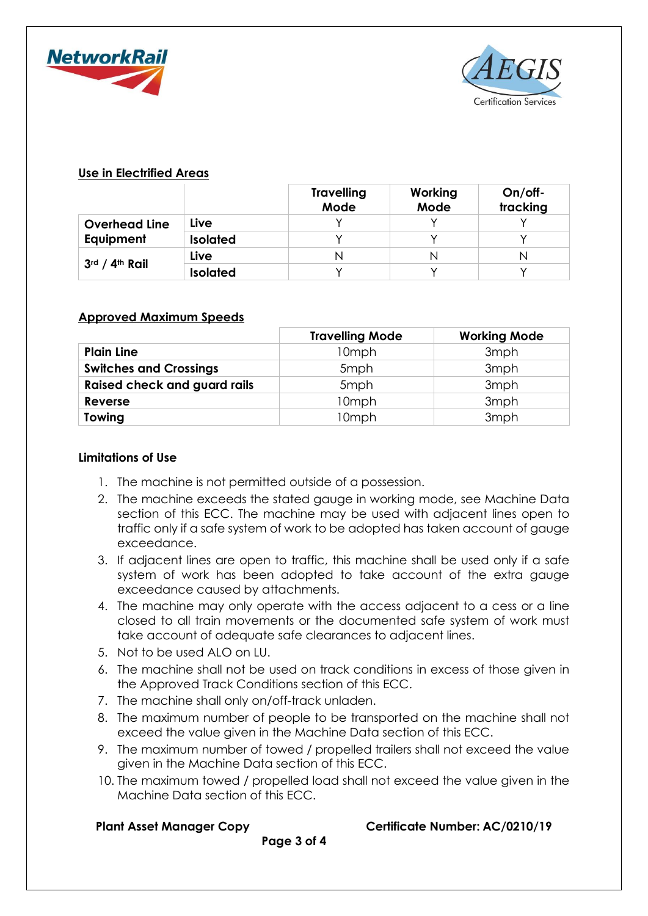



#### **Use in Electrified Areas**

|                      |                 | <b>Travelling</b><br>Mode | Working<br>Mode | On/off-<br>tracking |
|----------------------|-----------------|---------------------------|-----------------|---------------------|
| <b>Overhead Line</b> | Live            |                           |                 |                     |
| Equipment            | <b>Isolated</b> |                           |                 |                     |
| 3rd / 4th Rail       | Live            |                           | Ν               |                     |
|                      | <b>Isolated</b> |                           |                 |                     |

#### **Approved Maximum Speeds**

|                                     | <b>Travelling Mode</b> | <b>Working Mode</b> |
|-------------------------------------|------------------------|---------------------|
| <b>Plain Line</b>                   | 10mph                  | 3 <sub>mph</sub>    |
| <b>Switches and Crossings</b>       | 5mph                   | 3mph                |
| <b>Raised check and guard rails</b> | 5mph                   | 3mph                |
| Reverse                             | 10mph                  | 3mph                |
| Towing                              | 10mph                  | 3mph                |

#### **Limitations of Use**

- 1. The machine is not permitted outside of a possession.
- 2. The machine exceeds the stated gauge in working mode, see Machine Data section of this ECC. The machine may be used with adjacent lines open to traffic only if a safe system of work to be adopted has taken account of gauge exceedance.
- 3. If adjacent lines are open to traffic, this machine shall be used only if a safe system of work has been adopted to take account of the extra gauge exceedance caused by attachments.
- 4. The machine may only operate with the access adjacent to a cess or a line closed to all train movements or the documented safe system of work must take account of adequate safe clearances to adjacent lines.
- 5. Not to be used ALO on LU.
- 6. The machine shall not be used on track conditions in excess of those given in the Approved Track Conditions section of this ECC.
- 7. The machine shall only on/off-track unladen.
- 8. The maximum number of people to be transported on the machine shall not exceed the value given in the Machine Data section of this ECC.
- 9. The maximum number of towed / propelled trailers shall not exceed the value given in the Machine Data section of this ECC.
- 10. The maximum towed / propelled load shall not exceed the value given in the Machine Data section of this ECC.

**Plant Asset Manager Copy Certificate Number: AC/0210/19** 

**Page 3 of 4**